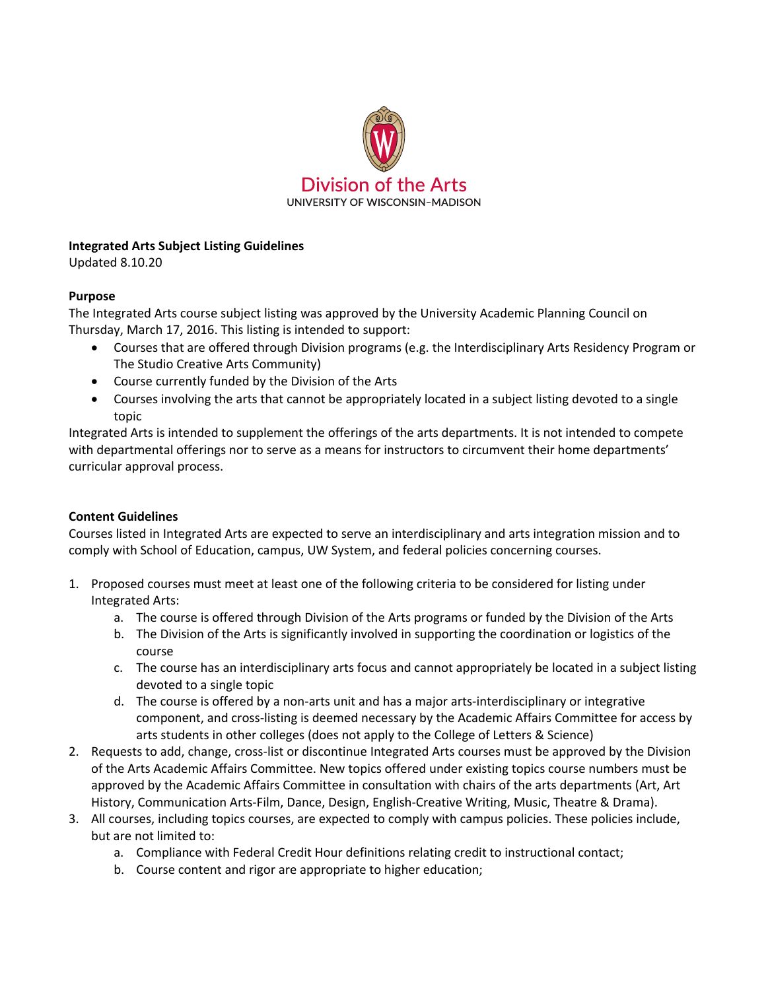

## **Integrated Arts Subject Listing Guidelines**

Updated 8.10.20

## **Purpose**

The Integrated Arts course subject listing was approved by the University Academic Planning Council on Thursday, March 17, 2016. This listing is intended to support:

- Courses that are offered through Division programs (e.g. the Interdisciplinary Arts Residency Program or The Studio Creative Arts Community)
- Course currently funded by the Division of the Arts
- Courses involving the arts that cannot be appropriately located in a subject listing devoted to a single topic

Integrated Arts is intended to supplement the offerings of the arts departments. It is not intended to compete with departmental offerings nor to serve as a means for instructors to circumvent their home departments' curricular approval process.

## **Content Guidelines**

Courses listed in Integrated Arts are expected to serve an interdisciplinary and arts integration mission and to comply with School of Education, campus, UW System, and federal policies concerning courses.

- 1. Proposed courses must meet at least one of the following criteria to be considered for listing under Integrated Arts:
	- a. The course is offered through Division of the Arts programs or funded by the Division of the Arts
	- b. The Division of the Arts is significantly involved in supporting the coordination or logistics of the course
	- c. The course has an interdisciplinary arts focus and cannot appropriately be located in a subject listing devoted to a single topic
	- d. The course is offered by a non-arts unit and has a major arts-interdisciplinary or integrative component, and cross-listing is deemed necessary by the Academic Affairs Committee for access by arts students in other colleges (does not apply to the College of Letters & Science)
- 2. Requests to add, change, cross-list or discontinue Integrated Arts courses must be approved by the Division of the Arts Academic Affairs Committee. New topics offered under existing topics course numbers must be approved by the Academic Affairs Committee in consultation with chairs of the arts departments (Art, Art History, Communication Arts-Film, Dance, Design, English-Creative Writing, Music, Theatre & Drama).
- 3. All courses, including topics courses, are expected to comply with campus policies. These policies include, but are not limited to:
	- a. Compliance with Federal Credit Hour definitions relating credit to instructional contact;
	- b. Course content and rigor are appropriate to higher education;